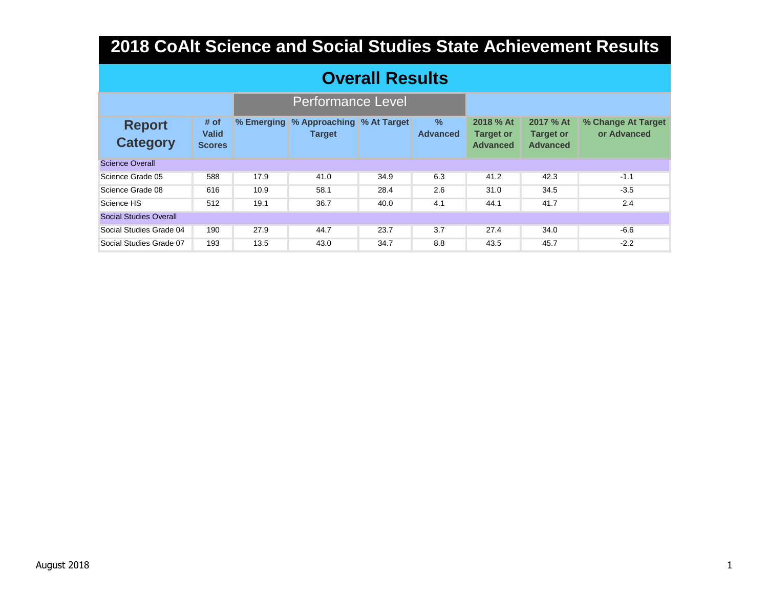### **Overall Results**

|                                  |                                       |            | <b>Performance Level</b>                   |      |                                  |                                                  |                                                  |                                   |
|----------------------------------|---------------------------------------|------------|--------------------------------------------|------|----------------------------------|--------------------------------------------------|--------------------------------------------------|-----------------------------------|
| <b>Report</b><br><b>Category</b> | # of<br><b>Valid</b><br><b>Scores</b> | % Emerging | % Approaching % At Target<br><b>Target</b> |      | $\frac{9}{6}$<br><b>Advanced</b> | 2018 % At<br><b>Target or</b><br><b>Advanced</b> | 2017 % At<br><b>Target or</b><br><b>Advanced</b> | % Change At Target<br>or Advanced |
| <b>Science Overall</b>           |                                       |            |                                            |      |                                  |                                                  |                                                  |                                   |
| Science Grade 05                 | 588                                   | 17.9       | 41.0                                       | 34.9 | 6.3                              | 41.2                                             | 42.3                                             | $-1.1$                            |
| Science Grade 08                 | 616                                   | 10.9       | 58.1                                       | 28.4 | 2.6                              | 31.0                                             | 34.5                                             | $-3.5$                            |
| Science HS                       | 512                                   | 19.1       | 36.7                                       | 40.0 | 4.1                              | 44.1                                             | 41.7                                             | 2.4                               |
| <b>Social Studies Overall</b>    |                                       |            |                                            |      |                                  |                                                  |                                                  |                                   |
| Social Studies Grade 04          | 190                                   | 27.9       | 44.7                                       | 23.7 | 3.7                              | 27.4                                             | 34.0                                             | $-6.6$                            |
| Social Studies Grade 07          | 193                                   | 13.5       | 43.0                                       | 34.7 | 8.8                              | 43.5                                             | 45.7                                             | $-2.2$                            |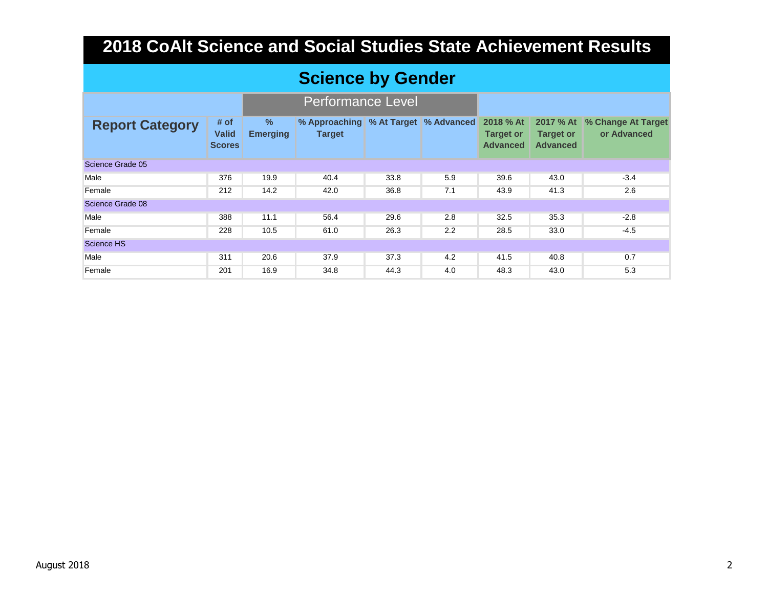### **Science by Gender**

|                        |                                       |                                  | <b>Performance Level</b>       |      |                          |                                                  |                                     |                                             |
|------------------------|---------------------------------------|----------------------------------|--------------------------------|------|--------------------------|--------------------------------------------------|-------------------------------------|---------------------------------------------|
| <b>Report Category</b> | # of<br><b>Valid</b><br><b>Scores</b> | $\frac{9}{6}$<br><b>Emerging</b> | % Approaching<br><b>Target</b> |      | % At Target   % Advanced | 2018 % At<br><b>Target or</b><br><b>Advanced</b> | <b>Target or</b><br><b>Advanced</b> | 2017 % At % Change At Target<br>or Advanced |
| Science Grade 05       |                                       |                                  |                                |      |                          |                                                  |                                     |                                             |
| Male                   | 376                                   | 19.9                             | 40.4                           | 33.8 | 5.9                      | 39.6                                             | 43.0                                | $-3.4$                                      |
| Female                 | 212                                   | 14.2                             | 42.0                           | 36.8 | 7.1                      | 43.9                                             | 41.3                                | 2.6                                         |
| Science Grade 08       |                                       |                                  |                                |      |                          |                                                  |                                     |                                             |
| Male                   | 388                                   | 11.1                             | 56.4                           | 29.6 | 2.8                      | 32.5                                             | 35.3                                | $-2.8$                                      |
| Female                 | 228                                   | 10.5                             | 61.0                           | 26.3 | 2.2                      | 28.5                                             | 33.0                                | $-4.5$                                      |
| Science HS             |                                       |                                  |                                |      |                          |                                                  |                                     |                                             |
| Male                   | 311                                   | 20.6                             | 37.9                           | 37.3 | 4.2                      | 41.5                                             | 40.8                                | 0.7                                         |
| Female                 | 201                                   | 16.9                             | 34.8                           | 44.3 | 4.0                      | 48.3                                             | 43.0                                | 5.3                                         |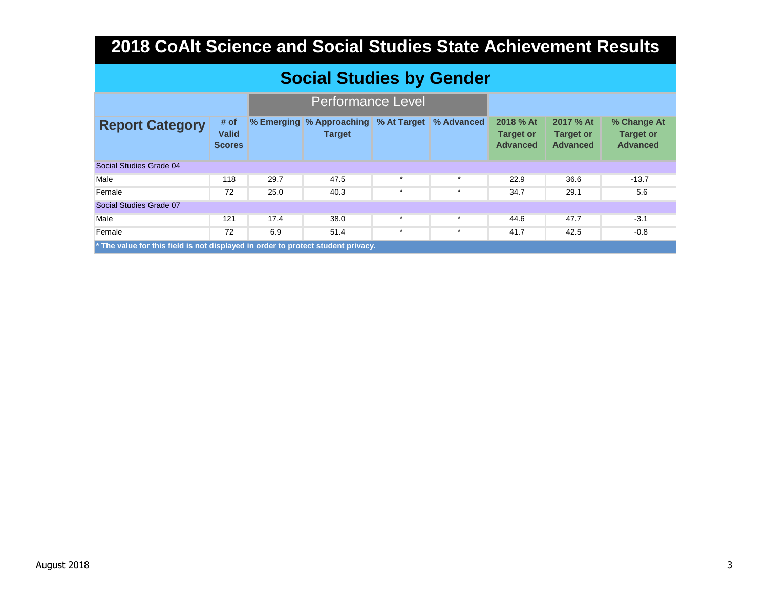|  | Social Studies by Gender |  |  |
|--|--------------------------|--|--|
|--|--------------------------|--|--|

|                                                                                  |                                       |      | <b>Performance Level</b>                  |         |                        |                                                  |                                                  |                                                    |  |  |
|----------------------------------------------------------------------------------|---------------------------------------|------|-------------------------------------------|---------|------------------------|--------------------------------------------------|--------------------------------------------------|----------------------------------------------------|--|--|
| <b>Report Category</b>                                                           | # of<br><b>Valid</b><br><b>Scores</b> |      | % Emerging % Approaching<br><b>Target</b> |         | % At Target % Advanced | 2018 % At<br><b>Target or</b><br><b>Advanced</b> | 2017 % At<br><b>Target or</b><br><b>Advanced</b> | % Change At<br><b>Target or</b><br><b>Advanced</b> |  |  |
| Social Studies Grade 04                                                          |                                       |      |                                           |         |                        |                                                  |                                                  |                                                    |  |  |
| Male                                                                             | 118                                   | 29.7 | 47.5                                      | $\star$ | $\star$                | 22.9                                             | 36.6                                             | $-13.7$                                            |  |  |
| Female                                                                           | 72                                    | 25.0 | 40.3                                      | $\star$ | $\star$                | 34.7                                             | 29.1                                             | 5.6                                                |  |  |
| Social Studies Grade 07                                                          |                                       |      |                                           |         |                        |                                                  |                                                  |                                                    |  |  |
| Male                                                                             | 121                                   | 17.4 | 38.0                                      | $\star$ |                        | 44.6                                             | 47.7                                             | $-3.1$                                             |  |  |
| Female                                                                           | 72                                    | 6.9  | 51.4                                      | $\star$ | $\ast$                 | 41.7                                             | 42.5                                             | $-0.8$                                             |  |  |
| * The value for this field is not displayed in order to protect student privacy. |                                       |      |                                           |         |                        |                                                  |                                                  |                                                    |  |  |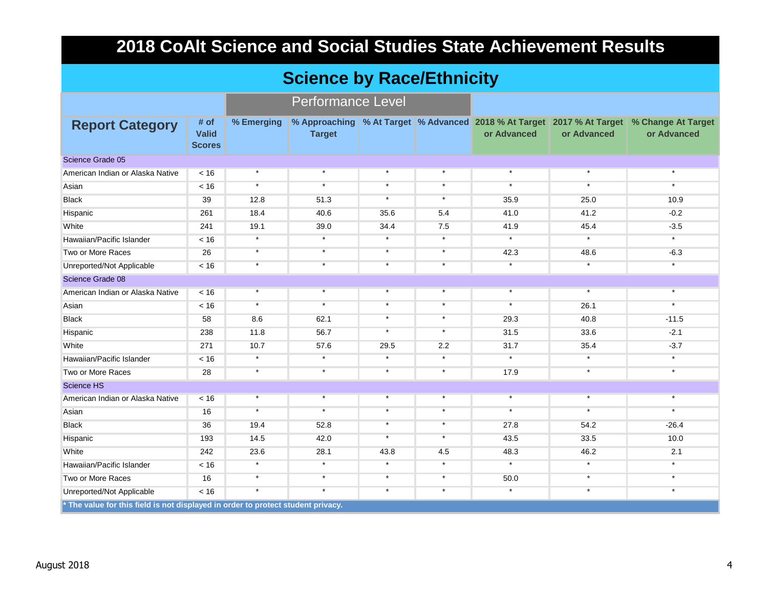### **Science by Race/Ethnicity**

|                                                                                  |                                       |            | <b>Performance Level</b> |         |         |             |             |                                                                                                          |
|----------------------------------------------------------------------------------|---------------------------------------|------------|--------------------------|---------|---------|-------------|-------------|----------------------------------------------------------------------------------------------------------|
| <b>Report Category</b>                                                           | # of<br><b>Valid</b><br><b>Scores</b> | % Emerging | <b>Target</b>            |         |         | or Advanced | or Advanced | % Approaching % At Target % Advanced 2018 % At Target 2017 % At Target % Change At Target<br>or Advanced |
| Science Grade 05                                                                 |                                       |            |                          |         |         |             |             |                                                                                                          |
| American Indian or Alaska Native                                                 | < 16                                  | $\star$    | $\star$                  | $\star$ | $\star$ | $\star$     | $\star$     | $\star$                                                                                                  |
| Asian                                                                            | < 16                                  | $\star$    | $\star$                  | $\star$ | $\star$ | $\star$     | $\star$     | $\star$                                                                                                  |
| <b>Black</b>                                                                     | 39                                    | 12.8       | 51.3                     | $\star$ | $\star$ | 35.9        | 25.0        | 10.9                                                                                                     |
| Hispanic                                                                         | 261                                   | 18.4       | 40.6                     | 35.6    | 5.4     | 41.0        | 41.2        | $-0.2$                                                                                                   |
| White                                                                            | 241                                   | 19.1       | 39.0                     | 34.4    | 7.5     | 41.9        | 45.4        | $-3.5$                                                                                                   |
| Hawaiian/Pacific Islander                                                        | < 16                                  | $\star$    | $\star$                  | $\star$ | $\star$ | $\star$     | $\star$     | $\star$                                                                                                  |
| Two or More Races                                                                | 26                                    | $\star$    | $\star$                  | $\star$ | $\star$ | 42.3        | 48.6        | $-6.3$                                                                                                   |
| Unreported/Not Applicable                                                        | < 16                                  | $\star$    | $\star$                  | $\star$ | $\star$ | $\star$     | $\star$     |                                                                                                          |
| Science Grade 08                                                                 |                                       |            |                          |         |         |             |             |                                                                                                          |
| American Indian or Alaska Native                                                 | < 16                                  | $\star$    | $\star$                  | $\star$ | $\star$ | $\star$     | $\star$     | $\star$                                                                                                  |
| Asian                                                                            | < 16                                  | $\star$    | $\star$                  | $\star$ | $\star$ | $^\star$    | 26.1        | $\star$                                                                                                  |
| <b>Black</b>                                                                     | 58                                    | 8.6        | 62.1                     | $\star$ | $\star$ | 29.3        | 40.8        | $-11.5$                                                                                                  |
| Hispanic                                                                         | 238                                   | 11.8       | 56.7                     | $\star$ | $\star$ | 31.5        | 33.6        | $-2.1$                                                                                                   |
| White                                                                            | 271                                   | 10.7       | 57.6                     | 29.5    | 2.2     | 31.7        | 35.4        | $-3.7$                                                                                                   |
| Hawaiian/Pacific Islander                                                        | < 16                                  | $\star$    | $\star$                  | $\star$ | $\star$ | $\star$     | $\star$     | $\star$                                                                                                  |
| Two or More Races                                                                | 28                                    | $\star$    | $\star$                  | $\star$ | $\star$ | 17.9        | $\star$     | $\star$                                                                                                  |
| <b>Science HS</b>                                                                |                                       |            |                          |         |         |             |             |                                                                                                          |
| American Indian or Alaska Native                                                 | < 16                                  | $\star$    | $\star$                  | $\star$ | $\star$ | $\star$     | $\star$     | $\star$                                                                                                  |
| Asian                                                                            | 16                                    | $\star$    | $\star$                  | $\star$ | $\star$ | $\star$     | $\star$     | $\star$                                                                                                  |
| <b>Black</b>                                                                     | 36                                    | 19.4       | 52.8                     | $\star$ | $\star$ | 27.8        | 54.2        | $-26.4$                                                                                                  |
| Hispanic                                                                         | 193                                   | 14.5       | 42.0                     | $\star$ | $\star$ | 43.5        | 33.5        | 10.0                                                                                                     |
| White                                                                            | 242                                   | 23.6       | 28.1                     | 43.8    | 4.5     | 48.3        | 46.2        | 2.1                                                                                                      |
| Hawaiian/Pacific Islander                                                        | < 16                                  | $\star$    | $\star$                  | $\star$ | $\star$ | $\star$     | $\star$     | $\star$                                                                                                  |
| Two or More Races                                                                | 16                                    | $\star$    | $\star$                  | $\star$ | $\star$ | 50.0        | $\star$     | $\star$                                                                                                  |
| Unreported/Not Applicable                                                        | < 16                                  | $\star$    | $\star$                  | $\star$ | $\star$ | $\star$     | $\star$     | $\star$                                                                                                  |
| * The value for this field is not displayed in order to protect student privacy. |                                       |            |                          |         |         |             |             |                                                                                                          |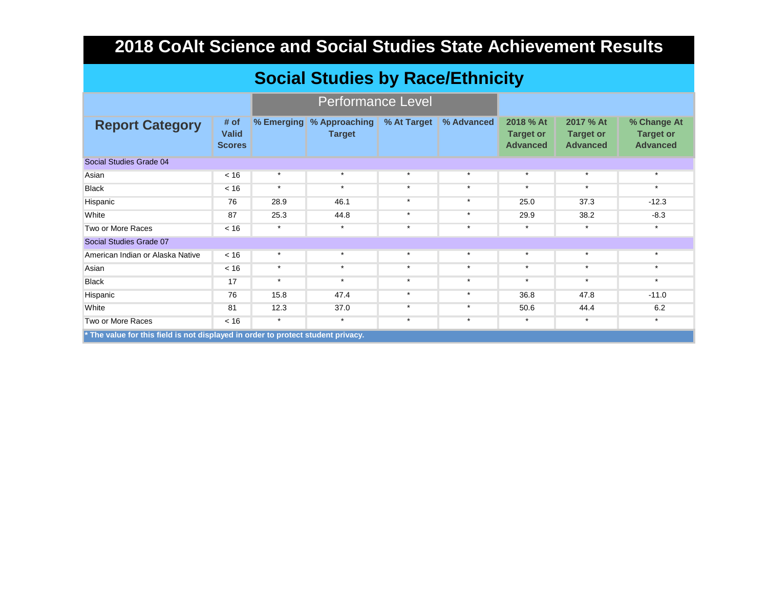|                                                                                  | <b>Social Studies by Race/Ethnicity</b> |            |                                |             |            |                                                  |                                                  |                                                    |  |  |  |  |
|----------------------------------------------------------------------------------|-----------------------------------------|------------|--------------------------------|-------------|------------|--------------------------------------------------|--------------------------------------------------|----------------------------------------------------|--|--|--|--|
| <b>Performance Level</b>                                                         |                                         |            |                                |             |            |                                                  |                                                  |                                                    |  |  |  |  |
| <b>Report Category</b>                                                           | # of<br><b>Valid</b><br><b>Scores</b>   | % Emerging | % Approaching<br><b>Target</b> | % At Target | % Advanced | 2018 % At<br><b>Target or</b><br><b>Advanced</b> | 2017 % At<br><b>Target or</b><br><b>Advanced</b> | % Change At<br><b>Target or</b><br><b>Advanced</b> |  |  |  |  |
| Social Studies Grade 04                                                          |                                         |            |                                |             |            |                                                  |                                                  |                                                    |  |  |  |  |
| Asian                                                                            | < 16                                    | $\star$    | $\star$                        | $\star$     | $\star$    | $\star$                                          | $\star$                                          | $\star$                                            |  |  |  |  |
| <b>Black</b>                                                                     | < 16                                    | $\star$    | $\star$                        | $\star$     | $\star$    | $\star$                                          | $\star$                                          | $\star$                                            |  |  |  |  |
| Hispanic                                                                         | 76                                      | 28.9       | 46.1                           | $\star$     | $\star$    | 25.0                                             | 37.3                                             | $-12.3$                                            |  |  |  |  |
| White                                                                            | 87                                      | 25.3       | 44.8                           | $\star$     | $\star$    | 29.9                                             | 38.2                                             | $-8.3$                                             |  |  |  |  |
| Two or More Races                                                                | < 16                                    | $\star$    | $\star$                        | $\star$     | $\star$    | $\star$                                          | $\star$                                          | $\star$                                            |  |  |  |  |
| Social Studies Grade 07                                                          |                                         |            |                                |             |            |                                                  |                                                  |                                                    |  |  |  |  |
| American Indian or Alaska Native                                                 | < 16                                    | $\star$    | $\star$                        | $\star$     | $\star$    | $\star$                                          | $\star$                                          | $\star$                                            |  |  |  |  |
| Asian                                                                            | < 16                                    | $\ast$     | $\star$                        | $\star$     | $\ast$     | $\star$                                          | $\star$                                          | $\ast$                                             |  |  |  |  |
| <b>Black</b>                                                                     | 17                                      | $\star$    | $\star$                        | $\star$     | $\star$    | $\star$                                          | $\star$                                          | $\star$                                            |  |  |  |  |
| Hispanic                                                                         | 76                                      | 15.8       | 47.4                           | $\star$     | $\star$    | 36.8                                             | 47.8                                             | $-11.0$                                            |  |  |  |  |
| White                                                                            | 81                                      | 12.3       | 37.0                           | $\star$     | $\star$    | 50.6                                             | 44.4                                             | 6.2                                                |  |  |  |  |
| Two or More Races                                                                | < 16                                    | $\star$    | $\star$                        | $\star$     | $\star$    | $\star$                                          | $\star$                                          | $\star$                                            |  |  |  |  |
| * The value for this field is not displayed in order to protect student privacy. |                                         |            |                                |             |            |                                                  |                                                  |                                                    |  |  |  |  |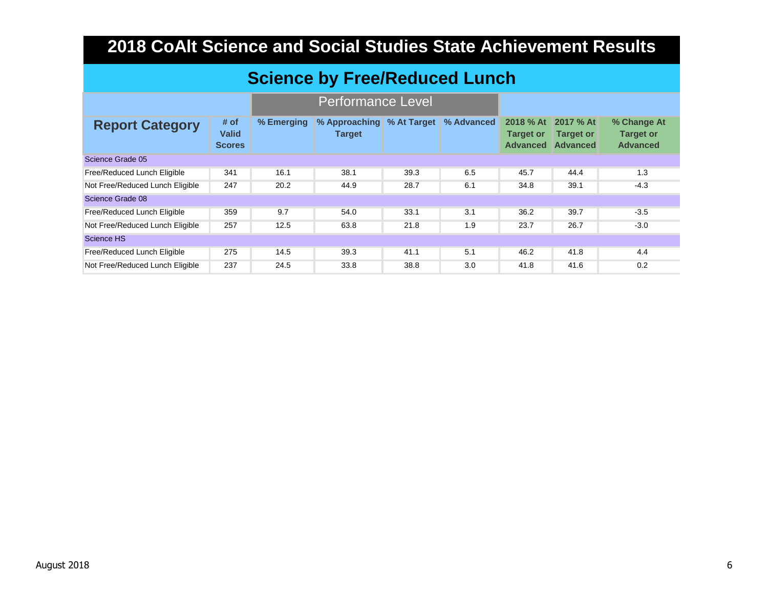### **Science by Free/Reduced Lunch**

|                                 |                                       |            | <b>Performance Level</b>       |             |            |                                                  |                                           |                                                    |
|---------------------------------|---------------------------------------|------------|--------------------------------|-------------|------------|--------------------------------------------------|-------------------------------------------|----------------------------------------------------|
| <b>Report Category</b>          | # of<br><b>Valid</b><br><b>Scores</b> | % Emerging | % Approaching<br><b>Target</b> | % At Target | % Advanced | 2018 % At<br><b>Target or</b><br><b>Advanced</b> | 2017 % At<br><b>Target or</b><br>Advanced | % Change At<br><b>Target or</b><br><b>Advanced</b> |
| Science Grade 05                |                                       |            |                                |             |            |                                                  |                                           |                                                    |
| Free/Reduced Lunch Eligible     | 341                                   | 16.1       | 38.1                           | 39.3        | 6.5        | 45.7                                             | 44.4                                      | 1.3                                                |
| Not Free/Reduced Lunch Eligible | 247                                   | 20.2       | 44.9                           | 28.7        | 6.1        | 34.8                                             | 39.1                                      | $-4.3$                                             |
| Science Grade 08                |                                       |            |                                |             |            |                                                  |                                           |                                                    |
| Free/Reduced Lunch Eligible     | 359                                   | 9.7        | 54.0                           | 33.1        | 3.1        | 36.2                                             | 39.7                                      | $-3.5$                                             |
| Not Free/Reduced Lunch Eligible | 257                                   | 12.5       | 63.8                           | 21.8        | 1.9        | 23.7                                             | 26.7                                      | $-3.0$                                             |
| Science HS                      |                                       |            |                                |             |            |                                                  |                                           |                                                    |
| Free/Reduced Lunch Eligible     | 275                                   | 14.5       | 39.3                           | 41.1        | 5.1        | 46.2                                             | 41.8                                      | 4.4                                                |
| Not Free/Reduced Lunch Eligible | 237                                   | 24.5       | 33.8                           | 38.8        | 3.0        | 41.8                                             | 41.6                                      | 0.2                                                |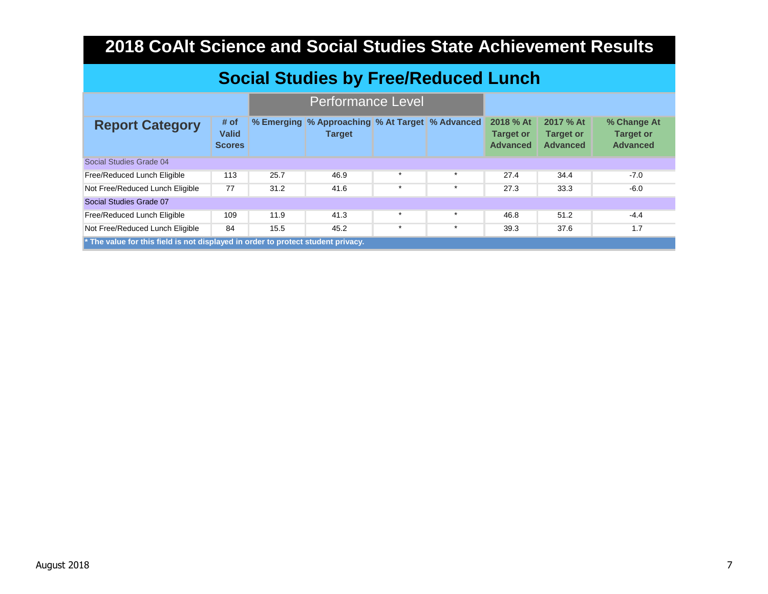| <b>Social Studies by Free/Reduced Lunch</b>                                                                         |                                       |      |                                                                  |         |         |                                                  |                                                  |                                                    |  |  |  |
|---------------------------------------------------------------------------------------------------------------------|---------------------------------------|------|------------------------------------------------------------------|---------|---------|--------------------------------------------------|--------------------------------------------------|----------------------------------------------------|--|--|--|
|                                                                                                                     |                                       |      |                                                                  |         |         |                                                  |                                                  |                                                    |  |  |  |
| <b>Report Category</b>                                                                                              | # of<br><b>Valid</b><br><b>Scores</b> |      | % Emerging % Approaching % At Target % Advanced<br><b>Target</b> |         |         | 2018 % At<br><b>Target or</b><br><b>Advanced</b> | 2017 % At<br><b>Target or</b><br><b>Advanced</b> | % Change At<br><b>Target or</b><br><b>Advanced</b> |  |  |  |
| Social Studies Grade 04                                                                                             |                                       |      |                                                                  |         |         |                                                  |                                                  |                                                    |  |  |  |
| Free/Reduced Lunch Eligible                                                                                         | 113                                   | 25.7 | 46.9                                                             | $\ast$  | $\star$ | 27.4                                             | 34.4                                             | $-7.0$                                             |  |  |  |
| Not Free/Reduced Lunch Eligible                                                                                     | 77                                    | 31.2 | 41.6                                                             | $\star$ | $\star$ | 27.3                                             | 33.3                                             | $-6.0$                                             |  |  |  |
| Social Studies Grade 07                                                                                             |                                       |      |                                                                  |         |         |                                                  |                                                  |                                                    |  |  |  |
| Free/Reduced Lunch Eligible                                                                                         | 109                                   | 11.9 | 41.3                                                             | $\ast$  | $\star$ | 46.8                                             | 51.2                                             | $-4.4$                                             |  |  |  |
| Not Free/Reduced Lunch Eligible<br>* The value for this field is not displayed in order to protect student privacy. | 84                                    | 15.5 | 45.2                                                             | $\ast$  | $\star$ | 39.3                                             | 37.6                                             | 1.7                                                |  |  |  |
|                                                                                                                     |                                       |      |                                                                  |         |         |                                                  |                                                  |                                                    |  |  |  |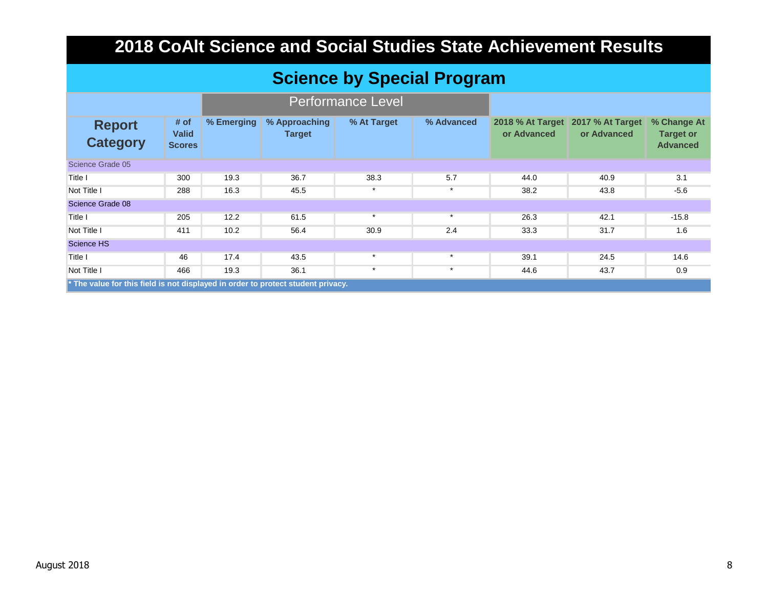### **Science by Special Program**

|                                                                                                 |                                       |            |                                | <b>Performance Level</b> |            |                                        |                                 |                                                    |
|-------------------------------------------------------------------------------------------------|---------------------------------------|------------|--------------------------------|--------------------------|------------|----------------------------------------|---------------------------------|----------------------------------------------------|
| <b>Report</b><br><b>Category</b>                                                                | # of<br><b>Valid</b><br><b>Scores</b> | % Emerging | % Approaching<br><b>Target</b> | % At Target              | % Advanced | <b>2018 % At Target</b><br>or Advanced | 2017 % At Target<br>or Advanced | % Change At<br><b>Target or</b><br><b>Advanced</b> |
| Science Grade 05                                                                                |                                       |            |                                |                          |            |                                        |                                 |                                                    |
| Title I                                                                                         | 300                                   | 19.3       | 36.7                           | 38.3                     | 5.7        | 44.0                                   | 40.9                            | 3.1                                                |
| Not Title I                                                                                     | 288                                   | 16.3       | 45.5                           | $\star$                  | $\star$    | 38.2                                   | 43.8                            | $-5.6$                                             |
| Science Grade 08                                                                                |                                       |            |                                |                          |            |                                        |                                 |                                                    |
| Title I                                                                                         | 205                                   | 12.2       | 61.5                           | $\star$                  | $\star$    | 26.3                                   | 42.1                            | $-15.8$                                            |
| Not Title I                                                                                     | 411                                   | 10.2       | 56.4                           | 30.9                     | 2.4        | 33.3                                   | 31.7                            | 1.6                                                |
| Science HS                                                                                      |                                       |            |                                |                          |            |                                        |                                 |                                                    |
| Title I                                                                                         | 46                                    | 17.4       | 43.5                           | $\star$                  | $\star$    | 39.1                                   | 24.5                            | 14.6                                               |
| Not Title I                                                                                     | 466                                   | 19.3       | 36.1                           | $\star$                  | $\star$    | 44.6                                   | 43.7                            | 0.9                                                |
| $\mathbf{\cdot}$ The value for this field is not displayed in order to protect student privacy. |                                       |            |                                |                          |            |                                        |                                 |                                                    |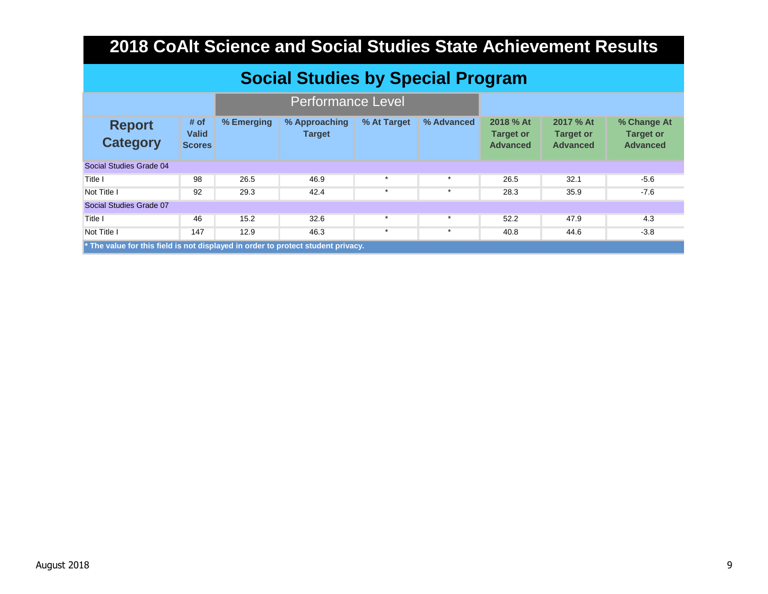| <b>Social Studies by Special Program</b> |
|------------------------------------------|
|------------------------------------------|

| <b>Report</b><br><b>Category</b>                                                   | # of<br><b>Valid</b><br><b>Scores</b> | % Emerging | % Approaching<br><b>Target</b> | % At Target | % Advanced | 2018 % At<br><b>Target or</b><br><b>Advanced</b> | 2017 % At<br><b>Target or</b><br><b>Advanced</b> | % Change At<br><b>Target or</b><br><b>Advanced</b> |
|------------------------------------------------------------------------------------|---------------------------------------|------------|--------------------------------|-------------|------------|--------------------------------------------------|--------------------------------------------------|----------------------------------------------------|
| Social Studies Grade 04                                                            |                                       |            |                                |             |            |                                                  |                                                  |                                                    |
| Title I                                                                            | 98                                    | 26.5       | 46.9                           |             |            | 26.5                                             | 32.1                                             | $-5.6$                                             |
| Not Title I                                                                        | 92                                    | 29.3       | 42.4                           | $\star$     | $\ast$     | 28.3                                             | 35.9                                             | $-7.6$                                             |
| Social Studies Grade 07                                                            |                                       |            |                                |             |            |                                                  |                                                  |                                                    |
| Title I                                                                            | 46                                    | 15.2       | 32.6                           | $\star$     | $\star$    | 52.2                                             | 47.9                                             | 4.3                                                |
| Not Title I                                                                        | 147                                   | 12.9       | 46.3                           | $\star$     | $\star$    | 40.8                                             | 44.6                                             | $-3.8$                                             |
| $*$ The value for this field is not displayed in order to protect student privacy. |                                       |            |                                |             |            |                                                  |                                                  |                                                    |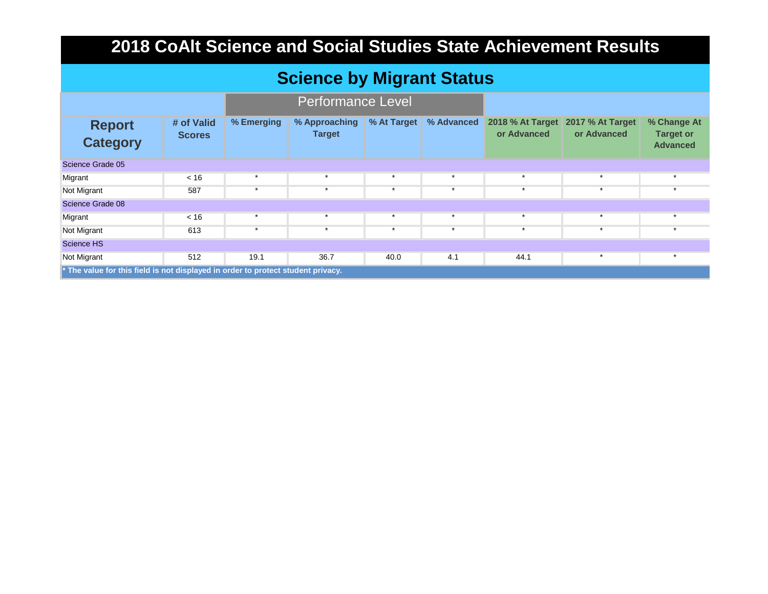### **Science by Migrant Status**

|                                                                                  |                             |            | <b>Performance Level</b>       |             |            |                                 |                                        |                                                    |
|----------------------------------------------------------------------------------|-----------------------------|------------|--------------------------------|-------------|------------|---------------------------------|----------------------------------------|----------------------------------------------------|
| <b>Report</b><br><b>Category</b>                                                 | # of Valid<br><b>Scores</b> | % Emerging | % Approaching<br><b>Target</b> | % At Target | % Advanced | 2018 % At Target<br>or Advanced | <b>2017 % At Target</b><br>or Advanced | % Change At<br><b>Target or</b><br><b>Advanced</b> |
| Science Grade 05                                                                 |                             |            |                                |             |            |                                 |                                        |                                                    |
| Migrant                                                                          | < 16                        | $\star$    | $\star$                        | $\star$     | $\star$    | $\star$                         | $\star$                                | $\star$                                            |
| Not Migrant                                                                      | 587                         | $\star$    | $\star$                        | $\star$     | $\star$    | $\star$                         | $\star$                                | $\ddot{\phantom{1}}$                               |
| Science Grade 08                                                                 |                             |            |                                |             |            |                                 |                                        |                                                    |
| Migrant                                                                          | < 16                        | $\star$    | $\star$                        | $\star$     | $\star$    | $\star$                         | $\star$                                | $\star$                                            |
| Not Migrant                                                                      | 613                         | $\star$    | $\star$                        | $\star$     | $\star$    | $\star$                         | $\star$                                |                                                    |
| <b>Science HS</b>                                                                |                             |            |                                |             |            |                                 |                                        |                                                    |
| Not Migrant                                                                      | 512                         | 19.1       | 36.7                           | 40.0        | 4.1        | 44.1                            | $\star$                                | $\star$                                            |
| * The value for this field is not displayed in order to protect student privacy. |                             |            |                                |             |            |                                 |                                        |                                                    |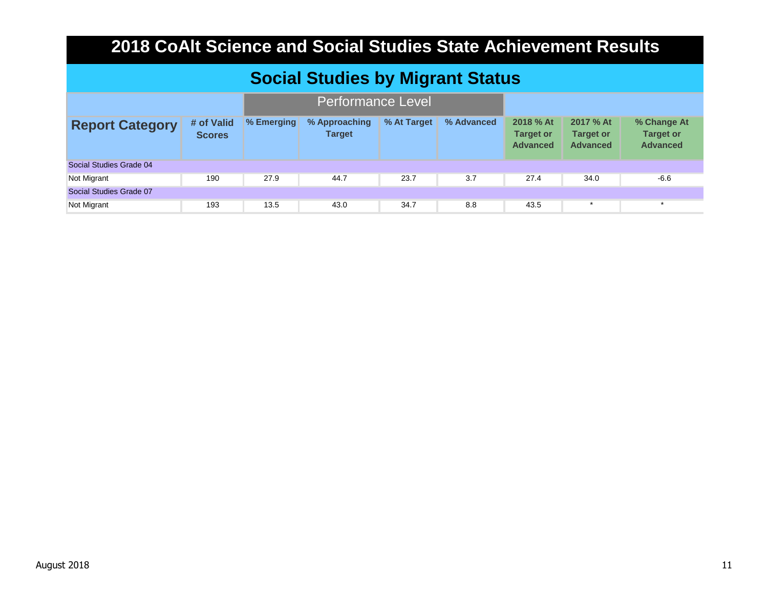| <b>Social Studies by Migrant Status</b> |                             |            |                                |             |            |                                                  |                                                  |                                                    |
|-----------------------------------------|-----------------------------|------------|--------------------------------|-------------|------------|--------------------------------------------------|--------------------------------------------------|----------------------------------------------------|
| <b>Performance Level</b>                |                             |            |                                |             |            |                                                  |                                                  |                                                    |
| <b>Report Category</b>                  | # of Valid<br><b>Scores</b> | % Emerging | % Approaching<br><b>Target</b> | % At Target | % Advanced | 2018 % At<br><b>Target or</b><br><b>Advanced</b> | 2017 % At<br><b>Target or</b><br><b>Advanced</b> | % Change At<br><b>Target or</b><br><b>Advanced</b> |
| Social Studies Grade 04                 |                             |            |                                |             |            |                                                  |                                                  |                                                    |
| Not Migrant                             | 190                         | 27.9       | 44.7                           | 23.7        | 3.7        | 27.4                                             | 34.0                                             | $-6.6$                                             |
| Social Studies Grade 07                 |                             |            |                                |             |            |                                                  |                                                  |                                                    |
| Not Migrant                             | 193                         | 13.5       | 43.0                           | 34.7        | 8.8        | 43.5                                             | $\star$                                          | $\star$                                            |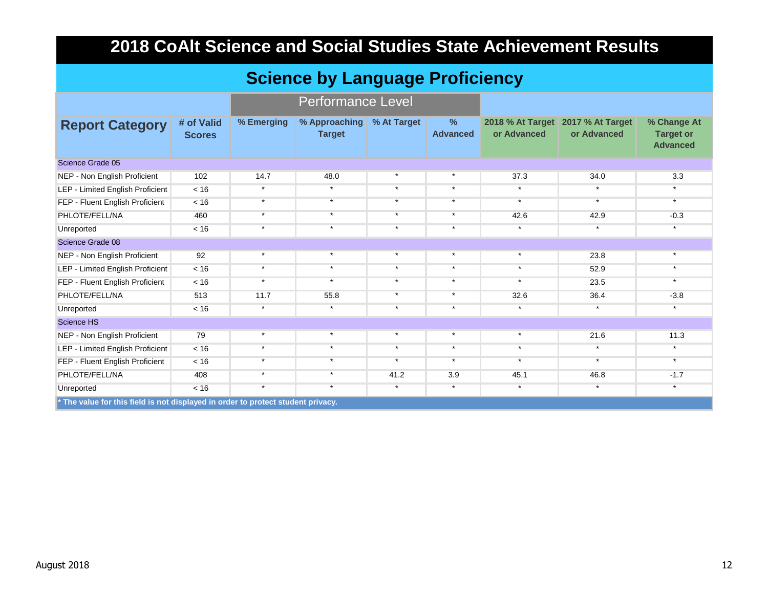| <b>Science by Language Proficiency</b>                                                         |                             |                          |                                |             |                                  |                                 |                                        |                                                    |  |  |
|------------------------------------------------------------------------------------------------|-----------------------------|--------------------------|--------------------------------|-------------|----------------------------------|---------------------------------|----------------------------------------|----------------------------------------------------|--|--|
|                                                                                                |                             | <b>Performance Level</b> |                                |             |                                  |                                 |                                        |                                                    |  |  |
| <b>Report Category</b>                                                                         | # of Valid<br><b>Scores</b> | % Emerging               | % Approaching<br><b>Target</b> | % At Target | $\frac{9}{6}$<br><b>Advanced</b> | 2018 % At Target<br>or Advanced | <b>2017 % At Target</b><br>or Advanced | % Change At<br><b>Target or</b><br><b>Advanced</b> |  |  |
| Science Grade 05                                                                               |                             |                          |                                |             |                                  |                                 |                                        |                                                    |  |  |
| NEP - Non English Proficient                                                                   | 102                         | 14.7                     | 48.0                           | $\star$     | $\star$                          | 37.3                            | 34.0                                   | 3.3                                                |  |  |
| LEP - Limited English Proficient                                                               | < 16                        | $\star$                  | $\star$                        | $\star$     | $\star$                          | $\star$                         | $\star$                                | $\star$                                            |  |  |
| FEP - Fluent English Proficient                                                                | < 16                        | $\star$                  | $\star$                        | $\star$     | $\star$                          | $\star$                         | $\star$                                | $\star$                                            |  |  |
| PHLOTE/FELL/NA                                                                                 | 460                         | $\star$                  | $\star$                        | $\star$     | $\star$                          | 42.6                            | 42.9                                   | $-0.3$                                             |  |  |
| Unreported                                                                                     | < 16                        | $\star$                  | $\star$                        | $\star$     | $\star$                          | $\star$                         | $\star$                                | $\star$                                            |  |  |
| Science Grade 08                                                                               |                             |                          |                                |             |                                  |                                 |                                        |                                                    |  |  |
| NEP - Non English Proficient                                                                   | 92                          | $\star$                  | $\star$                        | $\star$     | $\star$                          | $\star$                         | 23.8                                   | $\star$                                            |  |  |
| LEP - Limited English Proficient                                                               | < 16                        | $\star$                  | $\star$                        | $\star$     | $\star$                          | $\star$                         | 52.9                                   | $\star$                                            |  |  |
| FEP - Fluent English Proficient                                                                | < 16                        | $\star$                  | $\star$                        | $\star$     | $\star$                          | $\star$                         | 23.5                                   | $\star$                                            |  |  |
| PHLOTE/FELL/NA                                                                                 | 513                         | 11.7                     | 55.8                           | $\star$     | $\star$                          | 32.6                            | 36.4                                   | $-3.8$                                             |  |  |
| Unreported                                                                                     | < 16                        | $\star$                  | $\star$                        | $\star$     | $\star$                          | $\star$                         | $\star$                                | $\star$                                            |  |  |
| <b>Science HS</b>                                                                              |                             |                          |                                |             |                                  |                                 |                                        |                                                    |  |  |
| NEP - Non English Proficient                                                                   | 79                          | $\star$                  | $\star$                        | $\star$     | $\star$                          | $\star$                         | 21.6                                   | 11.3                                               |  |  |
| LEP - Limited English Proficient                                                               | < 16                        | $\star$                  | $\star$                        | $\star$     | $\star$                          | $\star$                         | $\star$                                | $\star$                                            |  |  |
| FEP - Fluent English Proficient                                                                | < 16                        | $\star$                  | $\star$                        | $\star$     | $\star$                          | $\star$                         | $\star$                                | $\star$                                            |  |  |
| PHLOTE/FELL/NA                                                                                 | 408                         | $\star$                  | $\star$                        | 41.2        | 3.9                              | 45.1                            | 46.8                                   | $-1.7$                                             |  |  |
| Unreported<br>* The value for this field is not displayed in order to protect student privacy. | < 16                        | $\star$                  | $\star$                        | $\star$     | $\star$                          | $\star$                         | $\star$                                | $\star$                                            |  |  |